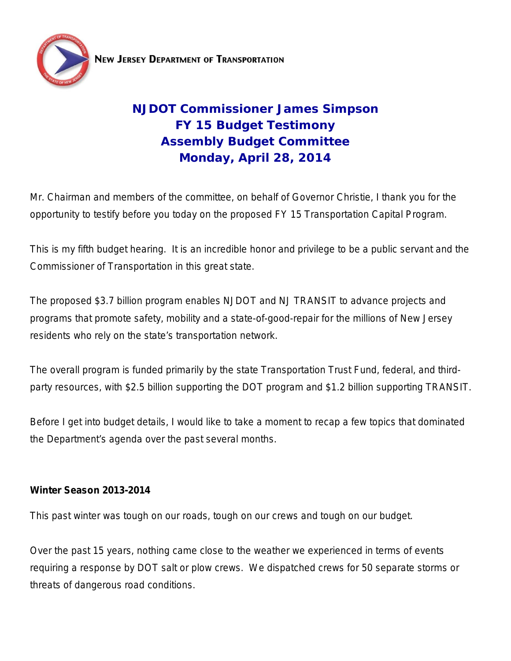

**NEW JERSEY DEPARTMENT OF TRANSPORTATION** 

# **NJDOT Commissioner James Simpson FY 15 Budget Testimony Assembly Budget Committee Monday, April 28, 2014**

Mr. Chairman and members of the committee, on behalf of Governor Christie, I thank you for the opportunity to testify before you today on the proposed FY 15 Transportation Capital Program.

This is my fifth budget hearing. It is an incredible honor and privilege to be a public servant and the Commissioner of Transportation in this great state.

The proposed \$3.7 billion program enables NJDOT and NJ TRANSIT to advance projects and programs that promote safety, mobility and a state-of-good-repair for the millions of New Jersey residents who rely on the state's transportation network.

The overall program is funded primarily by the state Transportation Trust Fund, federal, and thirdparty resources, with \$2.5 billion supporting the DOT program and \$1.2 billion supporting TRANSIT.

Before I get into budget details, I would like to take a moment to recap a few topics that dominated the Department's agenda over the past several months.

# **Winter Season 2013-2014**

This past winter was tough on our roads, tough on our crews and tough on our budget.

Over the past 15 years, nothing came close to the weather we experienced in terms of events requiring a response by DOT salt or plow crews. We dispatched crews for 50 separate storms or threats of dangerous road conditions.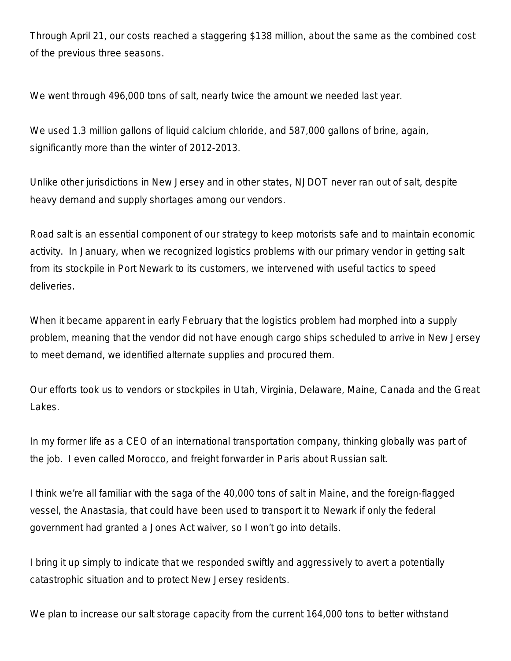Through April 21, our costs reached a staggering \$138 million, about the same as the combined cost of the previous three seasons.

We went through 496,000 tons of salt, nearly twice the amount we needed last year.

We used 1.3 million gallons of liquid calcium chloride, and 587,000 gallons of brine, again, significantly more than the winter of 2012-2013.

Unlike other jurisdictions in New Jersey and in other states, NJDOT never ran out of salt, despite heavy demand and supply shortages among our vendors.

Road salt is an essential component of our strategy to keep motorists safe and to maintain economic activity. In January, when we recognized logistics problems with our primary vendor in getting salt from its stockpile in Port Newark to its customers, we intervened with useful tactics to speed deliveries.

When it became apparent in early February that the logistics problem had morphed into a supply problem, meaning that the vendor did not have enough cargo ships scheduled to arrive in New Jersey to meet demand, we identified alternate supplies and procured them.

Our efforts took us to vendors or stockpiles in Utah, Virginia, Delaware, Maine, Canada and the Great Lakes.

In my former life as a CEO of an international transportation company, thinking globally was part of the job. I even called Morocco, and freight forwarder in Paris about Russian salt.

I think we're all familiar with the saga of the 40,000 tons of salt in Maine, and the foreign-flagged vessel, the Anastasia, that could have been used to transport it to Newark if only the federal government had granted a Jones Act waiver, so I won't go into details.

I bring it up simply to indicate that we responded swiftly and aggressively to avert a potentially catastrophic situation and to protect New Jersey residents.

We plan to increase our salt storage capacity from the current 164,000 tons to better withstand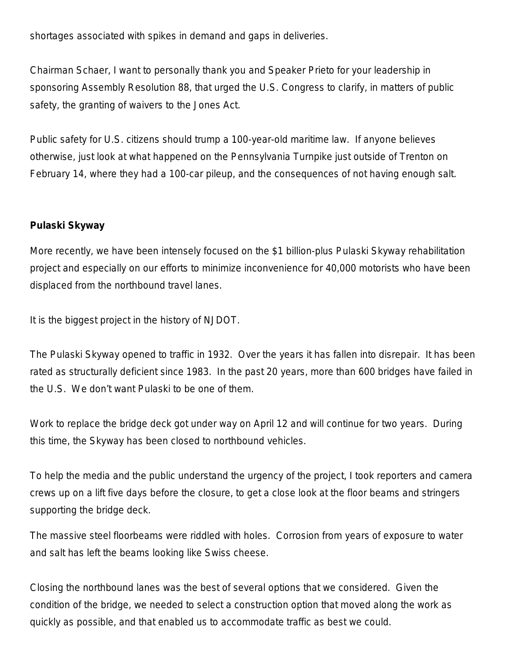shortages associated with spikes in demand and gaps in deliveries.

Chairman Schaer, I want to personally thank you and Speaker Prieto for your leadership in sponsoring Assembly Resolution 88, that urged the U.S. Congress to clarify, in matters of public safety, the granting of waivers to the Jones Act.

Public safety for U.S. citizens should trump a 100-year-old maritime law. If anyone believes otherwise, just look at what happened on the Pennsylvania Turnpike just outside of Trenton on February 14, where they had a 100-car pileup, and the consequences of not having enough salt.

## **Pulaski Skyway**

More recently, we have been intensely focused on the \$1 billion-plus Pulaski Skyway rehabilitation project and especially on our efforts to minimize inconvenience for 40,000 motorists who have been displaced from the northbound travel lanes.

It is the biggest project in the history of NJDOT.

The Pulaski Skyway opened to traffic in 1932. Over the years it has fallen into disrepair. It has been rated as structurally deficient since 1983. In the past 20 years, more than 600 bridges have failed in the U.S. We don't want Pulaski to be one of them.

Work to replace the bridge deck got under way on April 12 and will continue for two years. During this time, the Skyway has been closed to northbound vehicles.

To help the media and the public understand the urgency of the project, I took reporters and camera crews up on a lift five days before the closure, to get a close look at the floor beams and stringers supporting the bridge deck.

The massive steel floorbeams were riddled with holes. Corrosion from years of exposure to water and salt has left the beams looking like Swiss cheese.

Closing the northbound lanes was the best of several options that we considered. Given the condition of the bridge, we needed to select a construction option that moved along the work as quickly as possible, and that enabled us to accommodate traffic as best we could.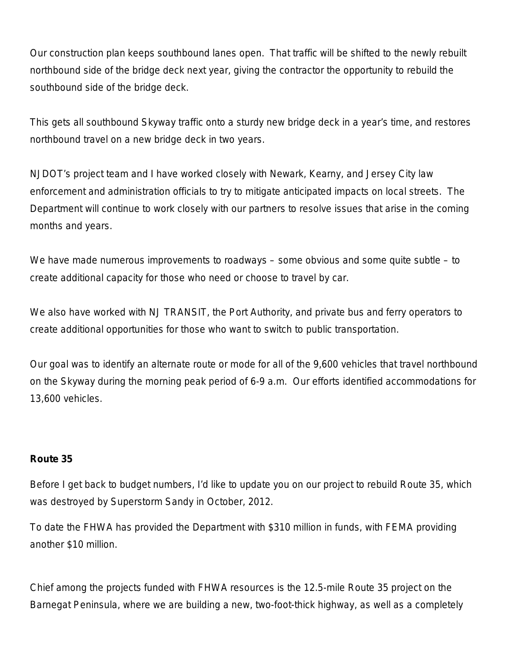Our construction plan keeps southbound lanes open. That traffic will be shifted to the newly rebuilt northbound side of the bridge deck next year, giving the contractor the opportunity to rebuild the southbound side of the bridge deck.

This gets all southbound Skyway traffic onto a sturdy new bridge deck in a year's time, and restores northbound travel on a new bridge deck in two years.

NJDOT's project team and I have worked closely with Newark, Kearny, and Jersey City law enforcement and administration officials to try to mitigate anticipated impacts on local streets. The Department will continue to work closely with our partners to resolve issues that arise in the coming months and years.

We have made numerous improvements to roadways – some obvious and some quite subtle – to create additional capacity for those who need or choose to travel by car.

We also have worked with NJ TRANSIT, the Port Authority, and private bus and ferry operators to create additional opportunities for those who want to switch to public transportation.

Our goal was to identify an alternate route or mode for all of the 9,600 vehicles that travel northbound on the Skyway during the morning peak period of 6-9 a.m. Our efforts identified accommodations for 13,600 vehicles.

#### **Route 35**

Before I get back to budget numbers, I'd like to update you on our project to rebuild Route 35, which was destroyed by Superstorm Sandy in October, 2012.

To date the FHWA has provided the Department with \$310 million in funds, with FEMA providing another \$10 million.

Chief among the projects funded with FHWA resources is the 12.5-mile Route 35 project on the Barnegat Peninsula, where we are building a new, two-foot-thick highway, as well as a completely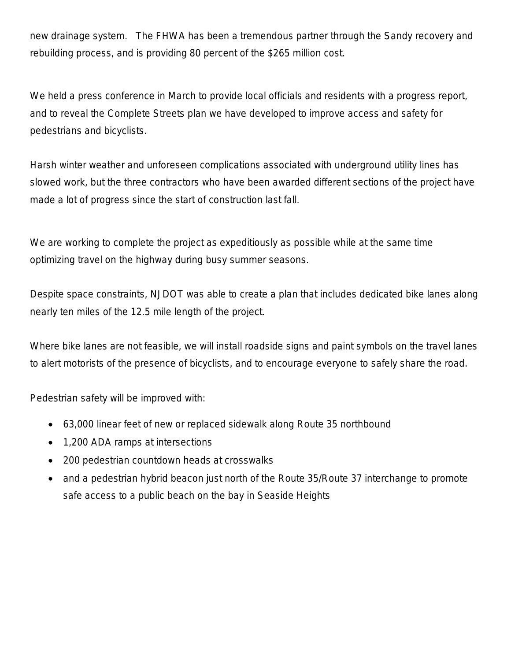new drainage system. The FHWA has been a tremendous partner through the Sandy recovery and rebuilding process, and is providing 80 percent of the \$265 million cost.

We held a press conference in March to provide local officials and residents with a progress report, and to reveal the Complete Streets plan we have developed to improve access and safety for pedestrians and bicyclists.

Harsh winter weather and unforeseen complications associated with underground utility lines has slowed work, but the three contractors who have been awarded different sections of the project have made a lot of progress since the start of construction last fall.

We are working to complete the project as expeditiously as possible while at the same time optimizing travel on the highway during busy summer seasons.

Despite space constraints, NJDOT was able to create a plan that includes dedicated bike lanes along nearly ten miles of the 12.5 mile length of the project.

Where bike lanes are not feasible, we will install roadside signs and paint symbols on the travel lanes to alert motorists of the presence of bicyclists, and to encourage everyone to safely share the road.

Pedestrian safety will be improved with:

- 63,000 linear feet of new or replaced sidewalk along Route 35 northbound
- 1,200 ADA ramps at intersections
- 200 pedestrian countdown heads at crosswalks
- and a pedestrian hybrid beacon just north of the Route 35/Route 37 interchange to promote safe access to a public beach on the bay in Seaside Heights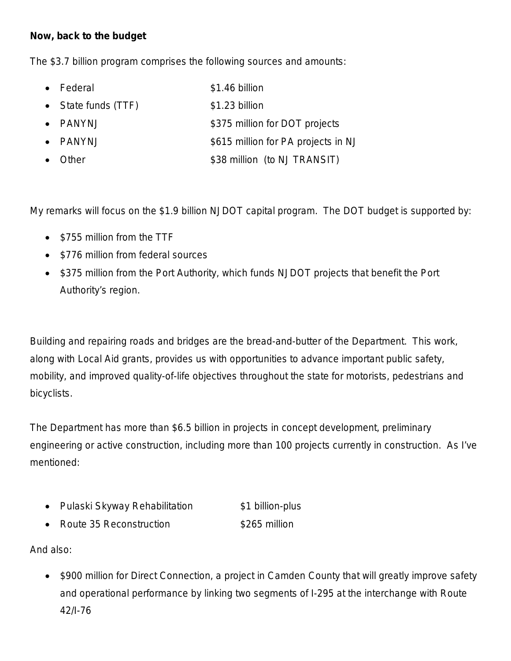# **Now, back to the budget**

The \$3.7 billion program comprises the following sources and amounts:

- Federal \$1.46 billion
- State funds (TTF) \$1.23 billion
- PANYNJ \$375 million for DOT projects
- PANYNJ \$615 million for PA projects in NJ
- Other \$38 million (to NJ TRANSIT)

My remarks will focus on the \$1.9 billion NJDOT capital program. The DOT budget is supported by:

- \$755 million from the TTF
- \$776 million from federal sources
- \$375 million from the Port Authority, which funds NJDOT projects that benefit the Port Authority's region.

Building and repairing roads and bridges are the bread-and-butter of the Department. This work, along with Local Aid grants, provides us with opportunities to advance important public safety, mobility, and improved quality-of-life objectives throughout the state for motorists, pedestrians and bicyclists.

The Department has more than \$6.5 billion in projects in concept development, preliminary engineering or active construction, including more than 100 projects currently in construction. As I've mentioned:

- Pulaski Skyway Rehabilitation  $$1$  billion-plus
- **Route 35 Reconstruction** \$265 million

And also:

• \$900 million for Direct Connection, a project in Camden County that will greatly improve safety and operational performance by linking two segments of I-295 at the interchange with Route 42/I-76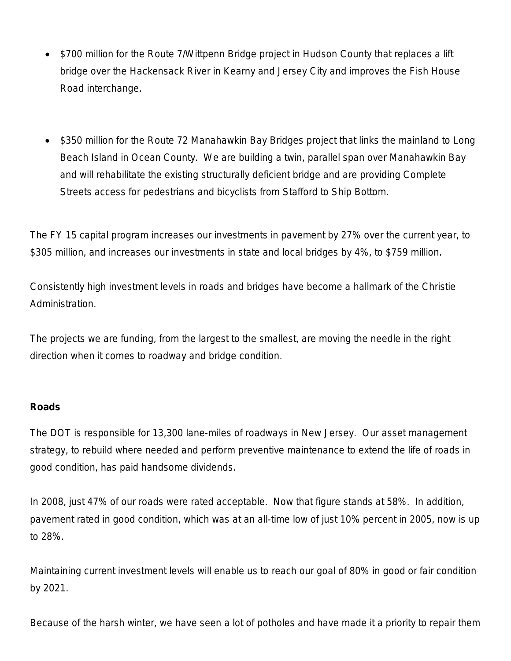- \$700 million for the Route 7/Wittpenn Bridge project in Hudson County that replaces a lift bridge over the Hackensack River in Kearny and Jersey City and improves the Fish House Road interchange.
- \$350 million for the Route 72 Manahawkin Bay Bridges project that links the mainland to Long Beach Island in Ocean County. We are building a twin, parallel span over Manahawkin Bay and will rehabilitate the existing structurally deficient bridge and are providing Complete Streets access for pedestrians and bicyclists from Stafford to Ship Bottom.

The FY 15 capital program increases our investments in pavement by 27% over the current year, to \$305 million, and increases our investments in state and local bridges by 4%, to \$759 million.

Consistently high investment levels in roads and bridges have become a hallmark of the Christie Administration.

The projects we are funding, from the largest to the smallest, are moving the needle in the right direction when it comes to roadway and bridge condition.

#### **Roads**

The DOT is responsible for 13,300 lane-miles of roadways in New Jersey. Our asset management strategy, to rebuild where needed and perform preventive maintenance to extend the life of roads in good condition, has paid handsome dividends.

In 2008, just 47% of our roads were rated acceptable. Now that figure stands at 58%. In addition, pavement rated in good condition, which was at an all-time low of just 10% percent in 2005, now is up to 28%.

Maintaining current investment levels will enable us to reach our goal of 80% in good or fair condition by 2021.

Because of the harsh winter, we have seen a lot of potholes and have made it a priority to repair them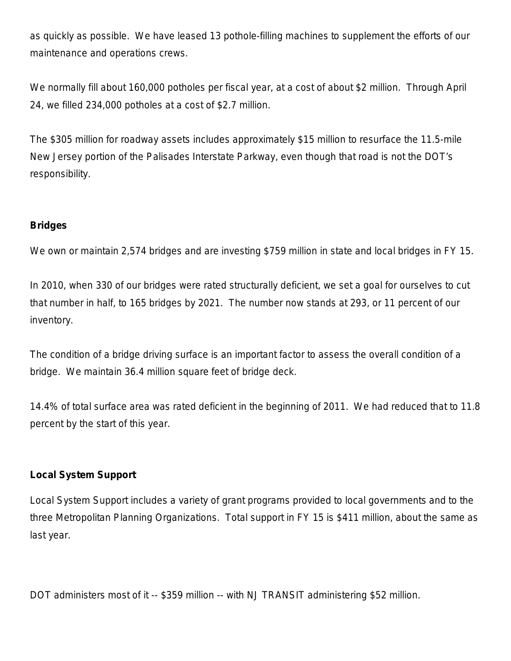as quickly as possible. We have leased 13 pothole-filling machines to supplement the efforts of our maintenance and operations crews.

We normally fill about 160,000 potholes per fiscal year, at a cost of about \$2 million. Through April 24, we filled 234,000 potholes at a cost of \$2.7 million.

The \$305 million for roadway assets includes approximately \$15 million to resurface the 11.5-mile New Jersey portion of the Palisades Interstate Parkway, even though that road is not the DOT's responsibility.

# **Bridges**

We own or maintain 2,574 bridges and are investing \$759 million in state and local bridges in FY 15.

In 2010, when 330 of our bridges were rated structurally deficient, we set a goal for ourselves to cut that number in half, to 165 bridges by 2021. The number now stands at 293, or 11 percent of our inventory.

The condition of a bridge driving surface is an important factor to assess the overall condition of a bridge. We maintain 36.4 million square feet of bridge deck.

14.4% of total surface area was rated deficient in the beginning of 2011. We had reduced that to 11.8 percent by the start of this year.

# **Local System Support**

Local System Support includes a variety of grant programs provided to local governments and to the three Metropolitan Planning Organizations. Total support in FY 15 is \$411 million, about the same as last year.

DOT administers most of it -- \$359 million -- with NJ TRANSIT administering \$52 million.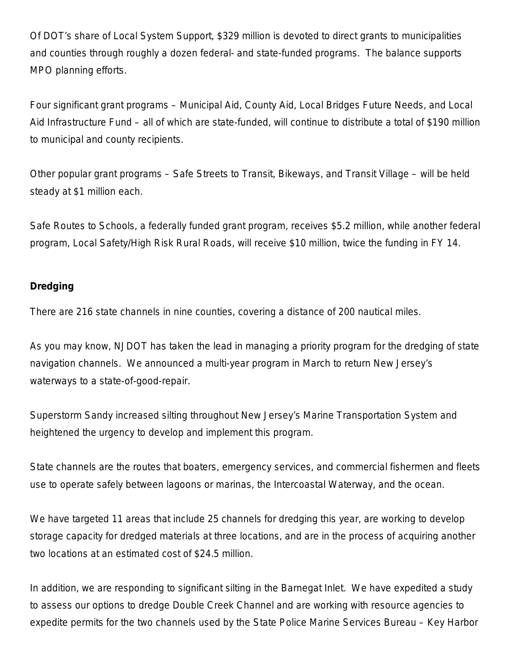Of DOT's share of Local System Support, \$329 million is devoted to direct grants to municipalities and counties through roughly a dozen federal- and state-funded programs. The balance supports MPO planning efforts.

Four significant grant programs – Municipal Aid, County Aid, Local Bridges Future Needs, and Local Aid Infrastructure Fund – all of which are state-funded, will continue to distribute a total of \$190 million to municipal and county recipients.

Other popular grant programs – Safe Streets to Transit, Bikeways, and Transit Village – will be held steady at \$1 million each.

Safe Routes to Schools, a federally funded grant program, receives \$5.2 million, while another federal program, Local Safety/High Risk Rural Roads, will receive \$10 million, twice the funding in FY 14.

## **Dredging**

There are 216 state channels in nine counties, covering a distance of 200 nautical miles.

As you may know, NJDOT has taken the lead in managing a priority program for the dredging of state navigation channels. We announced a multi-year program in March to return New Jersey's waterways to a state-of-good-repair.

Superstorm Sandy increased silting throughout New Jersey's Marine Transportation System and heightened the urgency to develop and implement this program.

State channels are the routes that boaters, emergency services, and commercial fishermen and fleets use to operate safely between lagoons or marinas, the Intercoastal Waterway, and the ocean.

We have targeted 11 areas that include 25 channels for dredging this year, are working to develop storage capacity for dredged materials at three locations, and are in the process of acquiring another two locations at an estimated cost of \$24.5 million.

In addition, we are responding to significant silting in the Barnegat Inlet. We have expedited a study to assess our options to dredge Double Creek Channel and are working with resource agencies to expedite permits for the two channels used by the State Police Marine Services Bureau – Key Harbor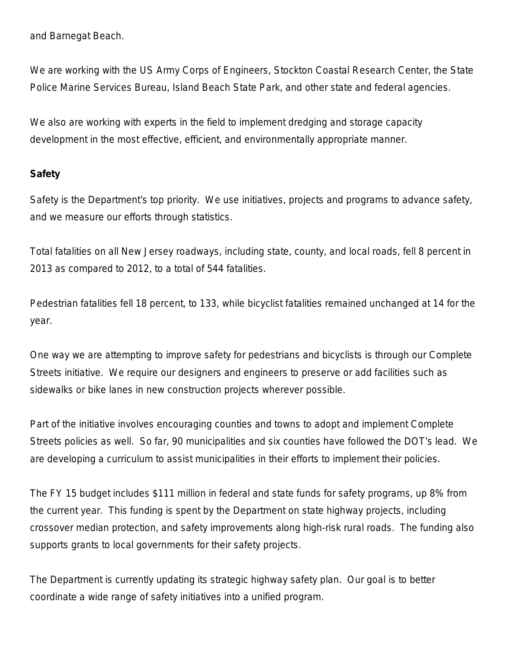and Barnegat Beach.

We are working with the US Army Corps of Engineers, Stockton Coastal Research Center, the State Police Marine Services Bureau, Island Beach State Park, and other state and federal agencies.

We also are working with experts in the field to implement dredging and storage capacity development in the most effective, efficient, and environmentally appropriate manner.

#### **Safety**

Safety is the Department's top priority. We use initiatives, projects and programs to advance safety, and we measure our efforts through statistics.

Total fatalities on all New Jersey roadways, including state, county, and local roads, fell 8 percent in 2013 as compared to 2012, to a total of 544 fatalities.

Pedestrian fatalities fell 18 percent, to 133, while bicyclist fatalities remained unchanged at 14 for the year.

One way we are attempting to improve safety for pedestrians and bicyclists is through our Complete Streets initiative. We require our designers and engineers to preserve or add facilities such as sidewalks or bike lanes in new construction projects wherever possible.

Part of the initiative involves encouraging counties and towns to adopt and implement Complete Streets policies as well. So far, 90 municipalities and six counties have followed the DOT's lead. We are developing a curriculum to assist municipalities in their efforts to implement their policies.

The FY 15 budget includes \$111 million in federal and state funds for safety programs, up 8% from the current year. This funding is spent by the Department on state highway projects, including crossover median protection, and safety improvements along high-risk rural roads. The funding also supports grants to local governments for their safety projects.

The Department is currently updating its strategic highway safety plan. Our goal is to better coordinate a wide range of safety initiatives into a unified program.